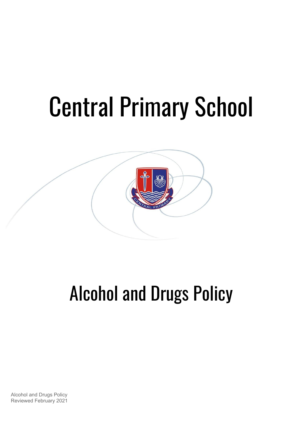# Central Primary School



# Alcohol and Drugs Policy

Alcohol and Drugs Policy Reviewed February 2021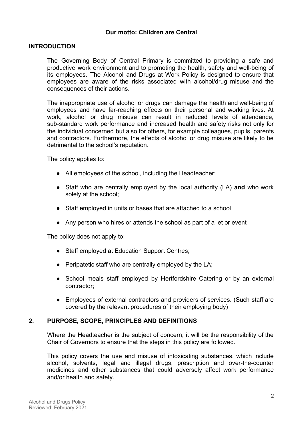#### **Our motto: Children are Central**

#### **INTRODUCTION**

The Governing Body of Central Primary is committed to providing a safe and productive work environment and to promoting the health, safety and well-being of its employees. The Alcohol and Drugs at Work Policy is designed to ensure that employees are aware of the risks associated with alcohol/drug misuse and the consequences of their actions.

The inappropriate use of alcohol or drugs can damage the health and well-being of employees and have far-reaching effects on their personal and working lives. At work, alcohol or drug misuse can result in reduced levels of attendance, sub-standard work performance and increased health and safety risks not only for the individual concerned but also for others, for example colleagues, pupils, parents and contractors. Furthermore, the effects of alcohol or drug misuse are likely to be detrimental to the school's reputation.

The policy applies to:

- All employees of the school, including the Headteacher;
- Staff who are centrally employed by the local authority (LA) **and** who work solely at the school;
- Staff employed in units or bases that are attached to a school
- Any person who hires or attends the school as part of a let or event

The policy does not apply to:

- Staff employed at Education Support Centres;
- Peripatetic staff who are centrally employed by the LA;
- School meals staff employed by Hertfordshire Catering or by an external contractor;
- Employees of external contractors and providers of services. (Such staff are covered by the relevant procedures of their employing body)

#### **2. PURPOSE, SCOPE, PRINCIPLES AND DEFINITIONS**

Where the Headteacher is the subject of concern, it will be the responsibility of the Chair of Governors to ensure that the steps in this policy are followed.

This policy covers the use and misuse of intoxicating substances, which include alcohol, solvents, legal and illegal drugs, prescription and over-the-counter medicines and other substances that could adversely affect work performance and/or health and safety.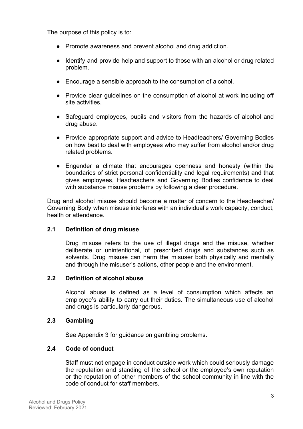The purpose of this policy is to:

- Promote awareness and prevent alcohol and drug addiction.
- Identify and provide help and support to those with an alcohol or drug related problem.
- Encourage a sensible approach to the consumption of alcohol.
- Provide clear guidelines on the consumption of alcohol at work including off site activities.
- Safeguard employees, pupils and visitors from the hazards of alcohol and drug abuse.
- Provide appropriate support and advice to Headteachers/ Governing Bodies on how best to deal with employees who may suffer from alcohol and/or drug related problems.
- Engender a climate that encourages openness and honesty (within the boundaries of strict personal confidentiality and legal requirements) and that gives employees, Headteachers and Governing Bodies confidence to deal with substance misuse problems by following a clear procedure.

Drug and alcohol misuse should become a matter of concern to the Headteacher/ Governing Body when misuse interferes with an individual's work capacity, conduct, health or attendance.

# **2.1 Definition of drug misuse**

Drug misuse refers to the use of illegal drugs and the misuse, whether deliberate or unintentional, of prescribed drugs and substances such as solvents. Drug misuse can harm the misuser both physically and mentally and through the misuser's actions, other people and the environment.

# **2.2 Definition of alcohol abuse**

Alcohol abuse is defined as a level of consumption which affects an employee's ability to carry out their duties. The simultaneous use of alcohol and drugs is particularly dangerous.

# **2.3 Gambling**

See Appendix 3 for guidance on gambling problems.

# **2.4 Code of conduct**

Staff must not engage in conduct outside work which could seriously damage the reputation and standing of the school or the employee's own reputation or the reputation of other members of the school community in line with the code of conduct for staff members.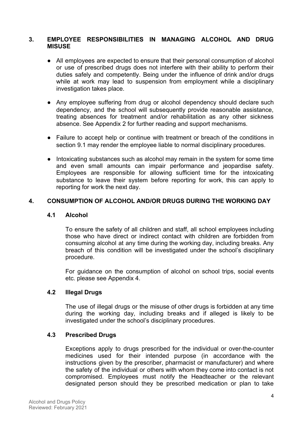#### **3. EMPLOYEE RESPONSIBILITIES IN MANAGING ALCOHOL AND DRUG MISUSE**

- All employees are expected to ensure that their personal consumption of alcohol or use of prescribed drugs does not interfere with their ability to perform their duties safely and competently. Being under the influence of drink and/or drugs while at work may lead to suspension from employment while a disciplinary investigation takes place.
- Any employee suffering from drug or alcohol dependency should declare such dependency, and the school will subsequently provide reasonable assistance, treating absences for treatment and/or rehabilitation as any other sickness absence. See Appendix 2 for further reading and support mechanisms.
- Failure to accept help or continue with treatment or breach of the conditions in section 9.1 may render the employee liable to normal disciplinary procedures.
- Intoxicating substances such as alcohol may remain in the system for some time and even small amounts can impair performance and jeopardise safety. Employees are responsible for allowing sufficient time for the intoxicating substance to leave their system before reporting for work, this can apply to reporting for work the next day.

### **4. CONSUMPTION OF ALCOHOL AND/OR DRUGS DURING THE WORKING DAY**

#### **4.1 Alcohol**

To ensure the safety of all children and staff, all school employees including those who have direct or indirect contact with children are forbidden from consuming alcohol at any time during the working day, including breaks. Any breach of this condition will be investigated under the school's disciplinary procedure.

For guidance on the consumption of alcohol on school trips, social events etc. please see Appendix 4.

#### **4.2 Illegal Drugs**

The use of illegal drugs or the misuse of other drugs is forbidden at any time during the working day, including breaks and if alleged is likely to be investigated under the school's disciplinary procedures.

#### **4.3 Prescribed Drugs**

Exceptions apply to drugs prescribed for the individual or over-the-counter medicines used for their intended purpose (in accordance with the instructions given by the prescriber, pharmacist or manufacturer) and where the safety of the individual or others with whom they come into contact is not compromised. Employees must notify the Headteacher or the relevant designated person should they be prescribed medication or plan to take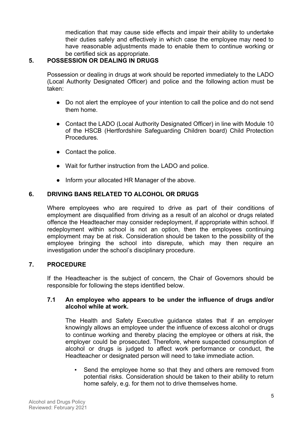medication that may cause side effects and impair their ability to undertake their duties safely and effectively in which case the employee may need to have reasonable adjustments made to enable them to continue working or be certified sick as appropriate.

# **5. POSSESSION OR DEALING IN DRUGS**

Possession or dealing in drugs at work should be reported immediately to the LADO (Local Authority Designated Officer) and police and the following action must be taken:

- Do not alert the employee of your intention to call the police and do not send them home.
- Contact the LADO (Local Authority Designated Officer) in line with Module 10 of the HSCB (Hertfordshire Safeguarding Children board) Child Protection Procedures.
- Contact the police.
- Wait for further instruction from the LADO and police.
- Inform your allocated HR Manager of the above.

# **6. DRIVING BANS RELATED TO ALCOHOL OR DRUGS**

Where employees who are required to drive as part of their conditions of employment are disqualified from driving as a result of an alcohol or drugs related offence the Headteacher may consider redeployment, if appropriate within school. If redeployment within school is not an option, then the employees continuing employment may be at risk. Consideration should be taken to the possibility of the employee bringing the school into disrepute, which may then require an investigation under the school's disciplinary procedure.

# **7. PROCEDURE**

If the Headteacher is the subject of concern, the Chair of Governors should be responsible for following the steps identified below.

### **7.1 An employee who appears to be under the influence of drugs and/or alcohol while at work.**

The Health and Safety Executive guidance states that if an employer knowingly allows an employee under the influence of excess alcohol or drugs to continue working and thereby placing the employee or others at risk, the employer could be prosecuted. Therefore, where suspected consumption of alcohol or drugs is judged to affect work performance or conduct, the Headteacher or designated person will need to take immediate action.

▪ Send the employee home so that they and others are removed from potential risks. Consideration should be taken to their ability to return home safely, e.g. for them not to drive themselves home.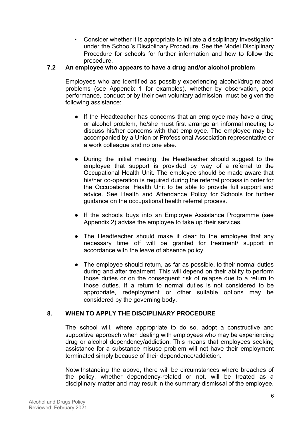▪ Consider whether it is appropriate to initiate a disciplinary investigation under the School's Disciplinary Procedure. See the Model Disciplinary Procedure for schools for further information and how to follow the procedure.

## **7.2 An employee who appears to have a drug and/or alcohol problem**

Employees who are identified as possibly experiencing alcohol/drug related problems (see Appendix 1 for examples), whether by observation, poor performance, conduct or by their own voluntary admission, must be given the following assistance:

- If the Headteacher has concerns that an employee may have a drug or alcohol problem, he/she must first arrange an informal meeting to discuss his/her concerns with that employee. The employee may be accompanied by a Union or Professional Association representative or a work colleague and no one else.
- During the initial meeting, the Headteacher should suggest to the employee that support is provided by way of a referral to the Occupational Health Unit. The employee should be made aware that his/her co-operation is required during the referral process in order for the Occupational Health Unit to be able to provide full support and advice. See Health and Attendance Policy for Schools for further guidance on the occupational health referral process.
- If the schools buys into an Employee Assistance Programme (see Appendix 2) advise the employee to take up their services.
- The Headteacher should make it clear to the employee that any necessary time off will be granted for treatment/ support in accordance with the leave of absence policy.
- The employee should return, as far as possible, to their normal duties during and after treatment. This will depend on their ability to perform those duties or on the consequent risk of relapse due to a return to those duties. If a return to normal duties is not considered to be appropriate, redeployment or other suitable options may be considered by the governing body.

#### **8. WHEN TO APPLY THE DISCIPLINARY PROCEDURE**

The school will, where appropriate to do so, adopt a constructive and supportive approach when dealing with employees who may be experiencing drug or alcohol dependency/addiction. This means that employees seeking assistance for a substance misuse problem will not have their employment terminated simply because of their dependence/addiction.

Notwithstanding the above, there will be circumstances where breaches of the policy, whether dependency-related or not, will be treated as a disciplinary matter and may result in the summary dismissal of the employee.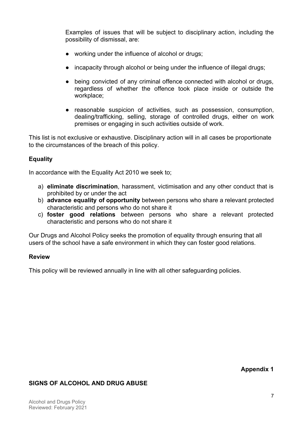Examples of issues that will be subject to disciplinary action, including the possibility of dismissal, are:

- working under the influence of alcohol or drugs;
- incapacity through alcohol or being under the influence of illegal drugs;
- being convicted of any criminal offence connected with alcohol or drugs, regardless of whether the offence took place inside or outside the workplace;
- reasonable suspicion of activities, such as possession, consumption, dealing/trafficking, selling, storage of controlled drugs, either on work premises or engaging in such activities outside of work.

This list is not exclusive or exhaustive. Disciplinary action will in all cases be proportionate to the circumstances of the breach of this policy.

# **Equality**

In accordance with the Equality Act 2010 we seek to:

- a) **eliminate discrimination**, harassment, victimisation and any other conduct that is prohibited by or under the act
- b) **advance equality of opportunity** between persons who share a relevant protected characteristic and persons who do not share it
- c) **foster good relations** between persons who share a relevant protected characteristic and persons who do not share it

Our Drugs and Alcohol Policy seeks the promotion of equality through ensuring that all users of the school have a safe environment in which they can foster good relations.

### **Review**

This policy will be reviewed annually in line with all other safeguarding policies.

**Appendix 1**

# **SIGNS OF ALCOHOL AND DRUG ABUSE**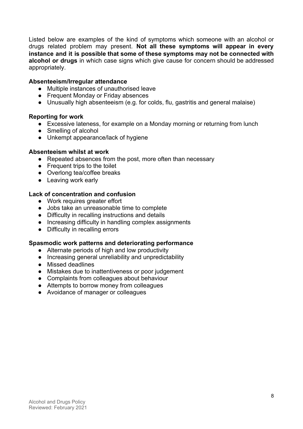Listed below are examples of the kind of symptoms which someone with an alcohol or drugs related problem may present. **Not all these symptoms will appear in every instance and it is possible that some of these symptoms may not be connected with alcohol or drugs** in which case signs which give cause for concern should be addressed appropriately.

#### **Absenteeism/Irregular attendance**

- Multiple instances of unauthorised leave
- Frequent Monday or Friday absences
- Unusually high absenteeism (e.g. for colds, flu, gastritis and general malaise)

#### **Reporting for work**

- Excessive lateness, for example on a Monday morning or returning from lunch
- Smelling of alcohol
- Unkempt appearance/lack of hygiene

#### **Absenteeism whilst at work**

- Repeated absences from the post, more often than necessary
- Frequent trips to the toilet
- Overlong tea/coffee breaks
- Leaving work early

#### **Lack of concentration and confusion**

- Work requires greater effort
- Jobs take an unreasonable time to complete
- Difficulty in recalling instructions and details
- Increasing difficulty in handling complex assignments
- Difficulty in recalling errors

#### **Spasmodic work patterns and deteriorating performance**

- Alternate periods of high and low productivity
- Increasing general unreliability and unpredictability
- Missed deadlines
- Mistakes due to inattentiveness or poor judgement
- Complaints from colleagues about behaviour
- Attempts to borrow money from colleagues
- Avoidance of manager or colleagues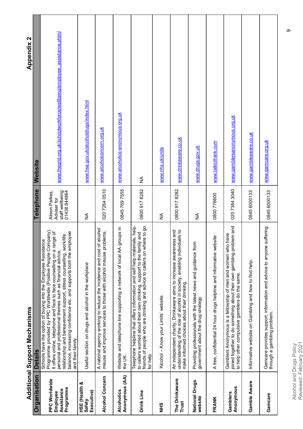| ı           |
|-------------|
|             |
|             |
| I<br>٠      |
|             |
|             |
| ı           |
|             |
|             |
|             |
|             |
|             |
| ׇ֠          |
|             |
|             |
| l           |
| ֠           |
|             |
| I<br>ı      |
|             |
| i           |
|             |
|             |
|             |
|             |
|             |
| i<br>٠<br>Ï |
| ı           |
|             |
| ı           |

**Appendix 2** 

|                                                      | <b>Additional Support Mechanisms</b>                                                                                                                                                                                                                                                                                                                                                                                                     |                                                                   | <b>Appendix 2</b>                                                      |
|------------------------------------------------------|------------------------------------------------------------------------------------------------------------------------------------------------------------------------------------------------------------------------------------------------------------------------------------------------------------------------------------------------------------------------------------------------------------------------------------------|-------------------------------------------------------------------|------------------------------------------------------------------------|
| Organisation                                         | <b>Detail</b>                                                                                                                                                                                                                                                                                                                                                                                                                            | Telephone                                                         | Website                                                                |
| PPC Worldwide<br>Programme<br>Assistance<br>Employee | Programme provided by PPC Worldwide (Positive People Company)<br>balance, increasing confidence etc. and supports both the employee<br>It offers online, telephone and face to face counselling on a range of<br>relationship and bereavement support, stress counselling, work/life<br>Schools have the option of buying into the Employee Assistance<br>personal and professional themes such as financial advice,<br>and their family | staff wellbeing:<br>01438 844864<br>Alison Parkes,<br>Adviser for | www.thegrid.org.uk/schoolworkforce/wellbeing/employee_assistance.shtml |
| HSE (Health &<br>Executive)<br>Safety                | Useful section on drugs and alcohol in the workplace                                                                                                                                                                                                                                                                                                                                                                                     | ≨                                                                 | www.hse.gov.uk/alcoholdrugs/index.html                                 |
| Alcohol Concern                                      | alcohol<br>misuse and improve services to those with alcohol misuse problems.<br>A national agency working to reduce the incidence and cost of                                                                                                                                                                                                                                                                                           | 020 7264 0510                                                     | www.alcoholconcern.org.uk                                              |
| Anonymous (AA)<br>Alcoholics                         | Website and telephone line supporting a network of local AA groups in<br>the UK.                                                                                                                                                                                                                                                                                                                                                         | 0845 769 7555                                                     | <u>www.alcoholics-anonymous.org.uk</u>                                 |
| Drink Line                                           | friends of people who are drinking and advice to callers on where to go<br>Telephone helpline that offers information and self help materials, help<br>to callers worried about their own drinking, support to the family and<br>for help.                                                                                                                                                                                               | 0800 917 8282                                                     | ≨                                                                      |
| SHR                                                  | Alcohol - Know your Limits' website                                                                                                                                                                                                                                                                                                                                                                                                      | $\frac{1}{2}$                                                     | www.nhs.uk/units                                                       |
| The Drinkaware<br>Trust                              | understanding of the role of alcohol in society, enabling individuals to<br>An independent charity, Drinkaware aims to increase awareness and<br>make informed choices about their drinking.                                                                                                                                                                                                                                             | 0800 917 8282                                                     | www.drinkaware.co.uk                                                   |
| <b>National Drugs</b><br>website                     | Providing professionals with the latest news and guidance from<br>government about the drug strategy                                                                                                                                                                                                                                                                                                                                     | ≨                                                                 | www.drugs.gov.uk                                                       |
| FRANK                                                | A free, confidential 24 hour drugs helpline and informative website                                                                                                                                                                                                                                                                                                                                                                      | 0800 776600                                                       | www.talktofrank.com                                                    |
| Anonymous<br>Gamblers                                | joined together to do something about their own gambling problem and<br>Gamblers Anonymous is a fellowship of men and women who have<br>to help other compulsive gamblers do the same.                                                                                                                                                                                                                                                   | 020 7384 3040                                                     | www.gamblersanonymous.org.uk                                           |
| Gamble Aware                                         | Informative website on Gambling and how to find help.                                                                                                                                                                                                                                                                                                                                                                                    | 0845 6000133                                                      | www.gambleaware.co.uk                                                  |
| Gamcare                                              | suffering<br>Gamcare provides support, information and advice to anyone<br>through a gambling problem.                                                                                                                                                                                                                                                                                                                                   | 0845 6000133                                                      | www.qamcare.org.uk                                                     |

Alcohol and Drugs Policy<br>Reviewed: February 2021 Reviewed: February 2021 Alcohol and Drugs Policy